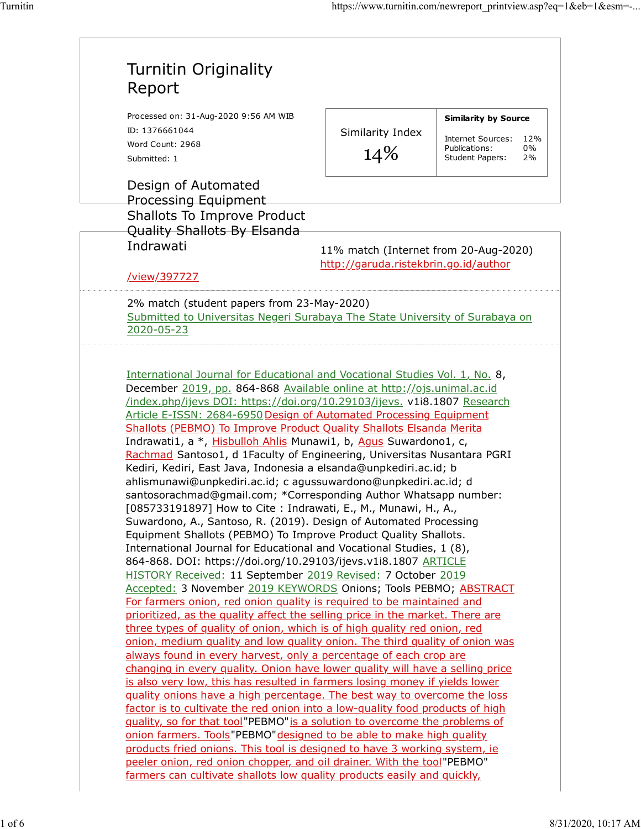## Turnitin Originality Report Processed on: 31-Aug-2020 9:56 AM WIB ID: 1376661044 Word Count: 2968 Submitted: 1 Design of Automated Processing Equipment Shallots To Improve Product Quality Shallots By Elsanda Indrawati 11% match (Internet from 20-Aug-2020) http://garuda.ristekbrin.go.id/author /view/397727 2% match (student papers from 23-May-2020) Submitted to Universitas Negeri Surabaya The State University of Surabaya on 2020-05-23 International Journal for Educational and Vocational Studies Vol. 1, No. 8, December 2019, pp. 864-868 Available online at http://ojs.unimal.ac.id /index.php/ijevs DOI: https://doi.org/10.29103/ijevs. v1i8.1807 Research Article E-ISSN: 2684-6950 Design of Automated Processing Equipment Shallots (PEBMO) To Improve Product Quality Shallots Elsanda Merita Indrawati1, a \*, Hisbulloh Ahlis Munawi1, b, Agus Suwardono1, c, Rachmad Santoso1, d 1Faculty of Engineering, Universitas Nusantara PGRI Kediri, Kediri, East Java, Indonesia a elsanda@unpkediri.ac.id; b ahlismunawi@unpkediri.ac.id; c agussuwardono@unpkediri.ac.id; d santosorachmad@gmail.com; \*Corresponding Author Whatsapp number: [085733191897] How to Cite : Indrawati, E., M., Munawi, H., A., Suwardono, A., Santoso, R. (2019). Design of Automated Processing Equipment Shallots (PEBMO) To Improve Product Quality Shallots. International Journal for Educational and Vocational Studies, 1 (8), 864-868. DOI: https://doi.org/10.29103/ijevs.v1i8.1807 ARTICLE HISTORY Received: 11 September 2019 Revised: 7 October 2019 Accepted: 3 November 2019 KEYWORDS Onions; Tools PEBMO; ABSTRACT For farmers onion, red onion quality is required to be maintained and prioritized, as the quality affect the selling price in the market. There are three types of quality of onion, which is of high quality red onion, red onion, medium quality and low quality onion. The third quality of onion was always found in every harvest, only a percentage of each crop are changing in every quality. Onion have lower quality will have a selling price is also very low, this has resulted in farmers losing money if yields lower quality onions have a high percentage. The best way to overcome the loss factor is to cultivate the red onion into a low-quality food products of high guality, so for that tool "PEBMO" is a solution to overcome the problems of onion farmers. Tools"PEBMO" designed to be able to make high quality products fried onions. This tool is designed to have 3 working system, ie peeler onion, red onion chopper, and oil drainer. With the tool"PEBMO" farmers can cultivate shallots low quality products easily and quickly, Similarity Index 14% Internet Sources: 12% Publications: 0% Student Papers: 2% **Similarity by Source**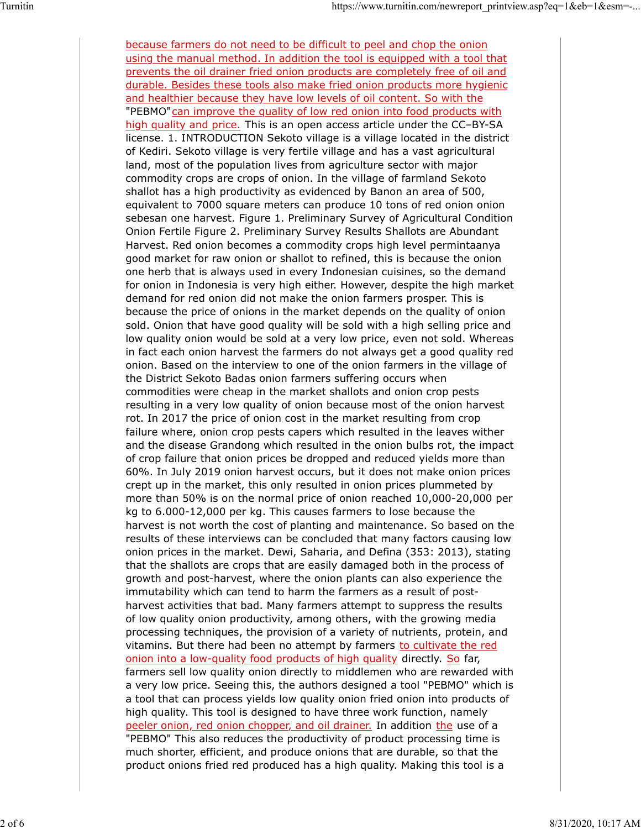because farmers do not need to be difficult to peel and chop the onion using the manual method. In addition the tool is equipped with a tool that prevents the oil drainer fried onion products are completely free of oil and durable. Besides these tools also make fried onion products more hygienic and healthier because they have low levels of oil content. So with the "PEBMO" can improve the quality of low red onion into food products with high quality and price. This is an open access article under the CC-BY-SA license. 1. INTRODUCTION Sekoto village is a village located in the district of Kediri. Sekoto village is very fertile village and has a vast agricultural land, most of the population lives from agriculture sector with major commodity crops are crops of onion. In the village of farmland Sekoto shallot has a high productivity as evidenced by Banon an area of 500, equivalent to 7000 square meters can produce 10 tons of red onion onion sebesan one harvest. Figure 1. Preliminary Survey of Agricultural Condition Onion Fertile Figure 2. Preliminary Survey Results Shallots are Abundant Harvest. Red onion becomes a commodity crops high level permintaanya good market for raw onion or shallot to refined, this is because the onion one herb that is always used in every Indonesian cuisines, so the demand for onion in Indonesia is very high either. However, despite the high market demand for red onion did not make the onion farmers prosper. This is because the price of onions in the market depends on the quality of onion sold. Onion that have good quality will be sold with a high selling price and low quality onion would be sold at a very low price, even not sold. Whereas in fact each onion harvest the farmers do not always get a good quality red onion. Based on the interview to one of the onion farmers in the village of the District Sekoto Badas onion farmers suffering occurs when commodities were cheap in the market shallots and onion crop pests resulting in a very low quality of onion because most of the onion harvest rot. In 2017 the price of onion cost in the market resulting from crop failure where, onion crop pests capers which resulted in the leaves wither and the disease Grandong which resulted in the onion bulbs rot, the impact of crop failure that onion prices be dropped and reduced yields more than 60%. In July 2019 onion harvest occurs, but it does not make onion prices crept up in the market, this only resulted in onion prices plummeted by more than 50% is on the normal price of onion reached 10,000-20,000 per kg to 6.000-12,000 per kg. This causes farmers to lose because the harvest is not worth the cost of planting and maintenance. So based on the results of these interviews can be concluded that many factors causing low onion prices in the market. Dewi, Saharia, and Defina (353: 2013), stating that the shallots are crops that are easily damaged both in the process of growth and post-harvest, where the onion plants can also experience the immutability which can tend to harm the farmers as a result of postharvest activities that bad. Many farmers attempt to suppress the results of low quality onion productivity, among others, with the growing media processing techniques, the provision of a variety of nutrients, protein, and vitamins. But there had been no attempt by farmers to cultivate the red onion into a low-quality food products of high quality directly. So far, farmers sell low quality onion directly to middlemen who are rewarded with a very low price. Seeing this, the authors designed a tool "PEBMO" which is a tool that can process yields low quality onion fried onion into products of high quality. This tool is designed to have three work function, namely peeler onion, red onion chopper, and oil drainer. In addition the use of a "PEBMO" This also reduces the productivity of product processing time is much shorter, efficient, and produce onions that are durable, so that the product onions fried red produced has a high quality. Making this tool is a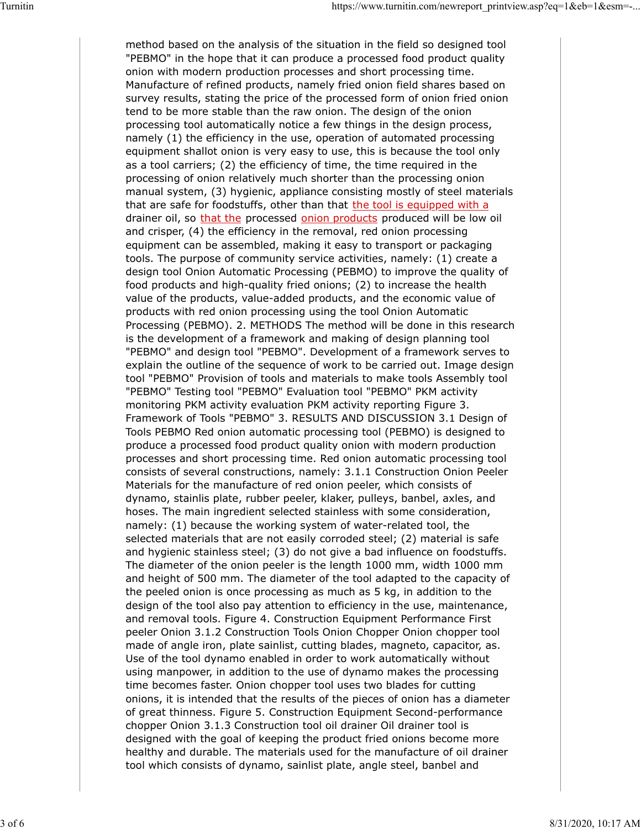method based on the analysis of the situation in the field so designed tool "PEBMO" in the hope that it can produce a processed food product quality onion with modern production processes and short processing time. Manufacture of refined products, namely fried onion field shares based on survey results, stating the price of the processed form of onion fried onion tend to be more stable than the raw onion. The design of the onion processing tool automatically notice a few things in the design process, namely (1) the efficiency in the use, operation of automated processing equipment shallot onion is very easy to use, this is because the tool only as a tool carriers; (2) the efficiency of time, the time required in the processing of onion relatively much shorter than the processing onion manual system, (3) hygienic, appliance consisting mostly of steel materials that are safe for foodstuffs, other than that the tool is equipped with a drainer oil, so that the processed onion products produced will be low oil and crisper, (4) the efficiency in the removal, red onion processing equipment can be assembled, making it easy to transport or packaging tools. The purpose of community service activities, namely: (1) create a design tool Onion Automatic Processing (PEBMO) to improve the quality of food products and high-quality fried onions; (2) to increase the health value of the products, value-added products, and the economic value of products with red onion processing using the tool Onion Automatic Processing (PEBMO). 2. METHODS The method will be done in this research is the development of a framework and making of design planning tool "PEBMO" and design tool "PEBMO". Development of a framework serves to explain the outline of the sequence of work to be carried out. Image design tool "PEBMO" Provision of tools and materials to make tools Assembly tool "PEBMO" Testing tool "PEBMO" Evaluation tool "PEBMO" PKM activity monitoring PKM activity evaluation PKM activity reporting Figure 3. Framework of Tools "PEBMO" 3. RESULTS AND DISCUSSION 3.1 Design of Tools PEBMO Red onion automatic processing tool (PEBMO) is designed to produce a processed food product quality onion with modern production processes and short processing time. Red onion automatic processing tool consists of several constructions, namely: 3.1.1 Construction Onion Peeler Materials for the manufacture of red onion peeler, which consists of dynamo, stainlis plate, rubber peeler, klaker, pulleys, banbel, axles, and hoses. The main ingredient selected stainless with some consideration, namely: (1) because the working system of water-related tool, the selected materials that are not easily corroded steel; (2) material is safe and hygienic stainless steel; (3) do not give a bad influence on foodstuffs. The diameter of the onion peeler is the length 1000 mm, width 1000 mm and height of 500 mm. The diameter of the tool adapted to the capacity of the peeled onion is once processing as much as 5 kg, in addition to the design of the tool also pay attention to efficiency in the use, maintenance, and removal tools. Figure 4. Construction Equipment Performance First peeler Onion 3.1.2 Construction Tools Onion Chopper Onion chopper tool made of angle iron, plate sainlist, cutting blades, magneto, capacitor, as. Use of the tool dynamo enabled in order to work automatically without using manpower, in addition to the use of dynamo makes the processing time becomes faster. Onion chopper tool uses two blades for cutting onions, it is intended that the results of the pieces of onion has a diameter of great thinness. Figure 5. Construction Equipment Second-performance chopper Onion 3.1.3 Construction tool oil drainer Oil drainer tool is designed with the goal of keeping the product fried onions become more healthy and durable. The materials used for the manufacture of oil drainer tool which consists of dynamo, sainlist plate, angle steel, banbel and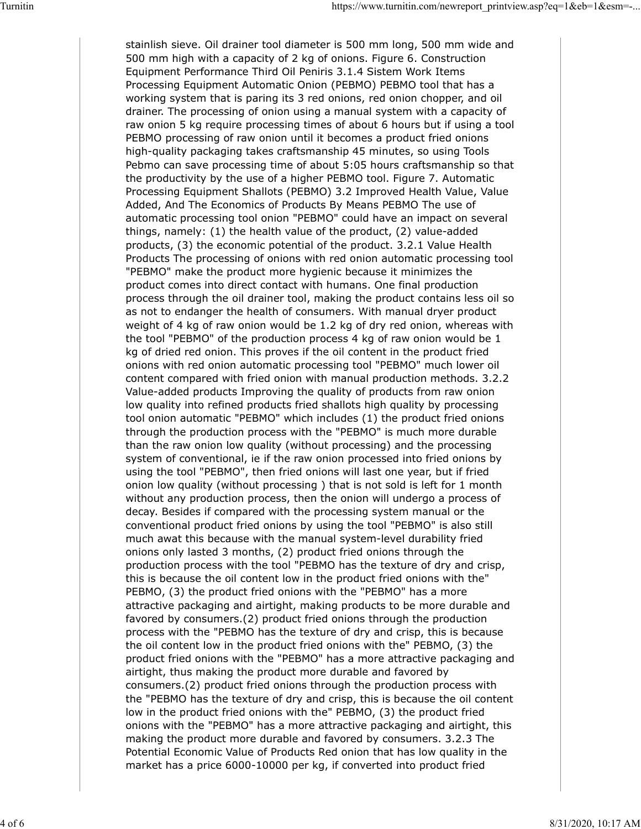stainlish sieve. Oil drainer tool diameter is 500 mm long, 500 mm wide and 500 mm high with a capacity of 2 kg of onions. Figure 6. Construction Equipment Performance Third Oil Peniris 3.1.4 Sistem Work Items Processing Equipment Automatic Onion (PEBMO) PEBMO tool that has a working system that is paring its 3 red onions, red onion chopper, and oil drainer. The processing of onion using a manual system with a capacity of raw onion 5 kg require processing times of about 6 hours but if using a tool PEBMO processing of raw onion until it becomes a product fried onions high-quality packaging takes craftsmanship 45 minutes, so using Tools Pebmo can save processing time of about 5:05 hours craftsmanship so that the productivity by the use of a higher PEBMO tool. Figure 7. Automatic Processing Equipment Shallots (PEBMO) 3.2 Improved Health Value, Value Added, And The Economics of Products By Means PEBMO The use of automatic processing tool onion "PEBMO" could have an impact on several things, namely: (1) the health value of the product, (2) value-added products, (3) the economic potential of the product. 3.2.1 Value Health Products The processing of onions with red onion automatic processing tool "PEBMO" make the product more hygienic because it minimizes the product comes into direct contact with humans. One final production process through the oil drainer tool, making the product contains less oil so as not to endanger the health of consumers. With manual dryer product weight of 4 kg of raw onion would be 1.2 kg of dry red onion, whereas with the tool "PEBMO" of the production process 4 kg of raw onion would be 1 kg of dried red onion. This proves if the oil content in the product fried onions with red onion automatic processing tool "PEBMO" much lower oil content compared with fried onion with manual production methods. 3.2.2 Value-added products Improving the quality of products from raw onion low quality into refined products fried shallots high quality by processing tool onion automatic "PEBMO" which includes (1) the product fried onions through the production process with the "PEBMO" is much more durable than the raw onion low quality (without processing) and the processing system of conventional, ie if the raw onion processed into fried onions by using the tool "PEBMO", then fried onions will last one year, but if fried onion low quality (without processing ) that is not sold is left for 1 month without any production process, then the onion will undergo a process of decay. Besides if compared with the processing system manual or the conventional product fried onions by using the tool "PEBMO" is also still much awat this because with the manual system-level durability fried onions only lasted 3 months, (2) product fried onions through the production process with the tool "PEBMO has the texture of dry and crisp, this is because the oil content low in the product fried onions with the" PEBMO, (3) the product fried onions with the "PEBMO" has a more attractive packaging and airtight, making products to be more durable and favored by consumers.(2) product fried onions through the production process with the "PEBMO has the texture of dry and crisp, this is because the oil content low in the product fried onions with the" PEBMO, (3) the product fried onions with the "PEBMO" has a more attractive packaging and airtight, thus making the product more durable and favored by consumers.(2) product fried onions through the production process with the "PEBMO has the texture of dry and crisp, this is because the oil content low in the product fried onions with the" PEBMO, (3) the product fried onions with the "PEBMO" has a more attractive packaging and airtight, this making the product more durable and favored by consumers. 3.2.3 The Potential Economic Value of Products Red onion that has low quality in the market has a price 6000-10000 per kg, if converted into product fried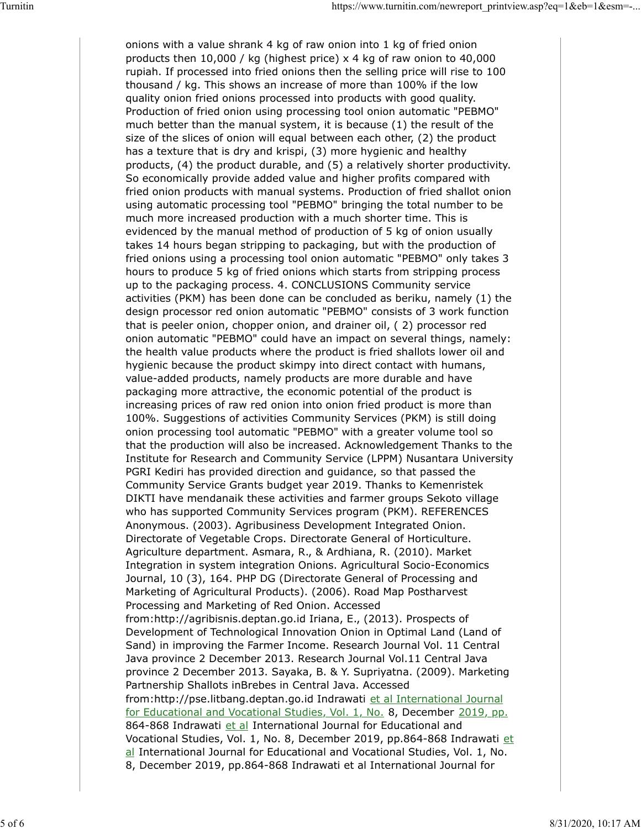onions with a value shrank 4 kg of raw onion into 1 kg of fried onion products then 10,000 / kg (highest price)  $\times$  4 kg of raw onion to 40,000 rupiah. If processed into fried onions then the selling price will rise to 100 thousand / kg. This shows an increase of more than 100% if the low quality onion fried onions processed into products with good quality. Production of fried onion using processing tool onion automatic "PEBMO" much better than the manual system, it is because (1) the result of the size of the slices of onion will equal between each other, (2) the product has a texture that is dry and krispi, (3) more hygienic and healthy products, (4) the product durable, and (5) a relatively shorter productivity. So economically provide added value and higher profits compared with fried onion products with manual systems. Production of fried shallot onion using automatic processing tool "PEBMO" bringing the total number to be much more increased production with a much shorter time. This is evidenced by the manual method of production of 5 kg of onion usually takes 14 hours began stripping to packaging, but with the production of fried onions using a processing tool onion automatic "PEBMO" only takes 3 hours to produce 5 kg of fried onions which starts from stripping process up to the packaging process. 4. CONCLUSIONS Community service activities (PKM) has been done can be concluded as beriku, namely (1) the design processor red onion automatic "PEBMO" consists of 3 work function that is peeler onion, chopper onion, and drainer oil, ( 2) processor red onion automatic "PEBMO" could have an impact on several things, namely: the health value products where the product is fried shallots lower oil and hygienic because the product skimpy into direct contact with humans, value-added products, namely products are more durable and have packaging more attractive, the economic potential of the product is increasing prices of raw red onion into onion fried product is more than 100%. Suggestions of activities Community Services (PKM) is still doing onion processing tool automatic "PEBMO" with a greater volume tool so that the production will also be increased. Acknowledgement Thanks to the Institute for Research and Community Service (LPPM) Nusantara University PGRI Kediri has provided direction and guidance, so that passed the Community Service Grants budget year 2019. Thanks to Kemenristek DIKTI have mendanaik these activities and farmer groups Sekoto village who has supported Community Services program (PKM). REFERENCES Anonymous. (2003). Agribusiness Development Integrated Onion. Directorate of Vegetable Crops. Directorate General of Horticulture. Agriculture department. Asmara, R., & Ardhiana, R. (2010). Market Integration in system integration Onions. Agricultural Socio-Economics Journal, 10 (3), 164. PHP DG (Directorate General of Processing and Marketing of Agricultural Products). (2006). Road Map Postharvest Processing and Marketing of Red Onion. Accessed from:http://agribisnis.deptan.go.id Iriana, E., (2013). Prospects of Development of Technological Innovation Onion in Optimal Land (Land of Sand) in improving the Farmer Income. Research Journal Vol. 11 Central Java province 2 December 2013. Research Journal Vol.11 Central Java province 2 December 2013. Sayaka, B. & Y. Supriyatna. (2009). Marketing Partnership Shallots inBrebes in Central Java. Accessed from:http://pse.litbang.deptan.go.id Indrawati et al International Journal for Educational and Vocational Studies, Vol. 1, No. 8, December 2019, pp. 864-868 Indrawati et al International Journal for Educational and Vocational Studies, Vol. 1, No. 8, December 2019, pp.864-868 Indrawati et al International Journal for Educational and Vocational Studies, Vol. 1, No. 8, December 2019, pp.864-868 Indrawati et al International Journal for